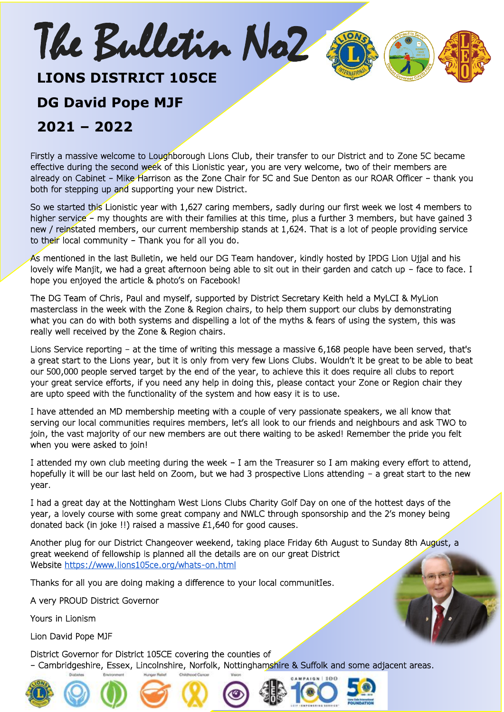## **LIONS DISTRICT 105CE**

The Bulletin No2

#### **DG David Pope MJF**

#### **2021 – 2022**

Firstly a massive welcome to Loughborough Lions Club, their transfer to our District and to Zone 5C became effective during the second week of this Lionistic year, you are very welcome, two of their members are already on Cabinet – Mike Harrison as the Zone Chair for 5C and Sue Denton as our ROAR Officer – thank you both for stepping up and supporting your new District.

ł

So we started this Lionistic year with 1,627 caring members, sadly during our first week we lost 4 members to higher service – my thoughts are with their families at this time, plus a further 3 members, but have gained 3 new / reinstated members, our current membership stands at 1,624. That is a lot of people providing service to their local community – Thank you for all you do.

As mentioned in the last Bulletin, we held our DG Team handover, kindly hosted by IPDG Lion Ujjal and his lovely wife Manjit, we had a great afternoon being able to sit out in their garden and catch up – face to face. I hope you enjoyed the article & photo's on Facebook!

The DG Team of Chris, Paul and myself, supported by District Secretary Keith held a MyLCI & MyLion masterclass in the week with the Zone & Region chairs, to help them support our clubs by demonstrating what you can do with both systems and dispelling a lot of the myths & fears of using the system, this was really well received by the Zone & Region chairs.

Lions Service reporting – at the time of writing this message a massive 6,168 people have been served, that's a great start to the Lions year, but it is only from very few Lions Clubs. Wouldn't it be great to be able to beat our 500,000 people served target by the end of the year, to achieve this it does require all clubs to report your great service efforts, if you need any help in doing this, please contact your Zone or Region chair they are upto speed with the functionality of the system and how easy it is to use.

I have attended an MD membership meeting with a couple of very passionate speakers, we all know that serving our local communities requires members, let's all look to our friends and neighbours and ask TWO to join, the vast majority of our new members are out there waiting to be asked! Remember the pride you felt when you were asked to join!

I attended my own club meeting during the week – I am the Treasurer so I am making every effort to attend, hopefully it will be our last held on Zoom, but we had 3 prospective Lions attending – a great start to the new year.

I had a great day at the Nottingham West Lions Clubs Charity Golf Day on one of the hottest days of the year, a lovely course with some great company and NWLC through sponsorship and the 2's money being donated back (in joke !!) raised a massive £1,640 for good causes.

Another plug for our District Changeover weekend, taking place Friday 6th August to Sunday 8th August, a great weekend of fellowship is planned all the details are on our great District Website<https://www.lions105ce.org/whats-on.html>

Thanks for all you are doing making a difference to your local communitIes.

A very PROUD District Governor

Yours in Lionism

Lion David Pope MJF

District Governor for District 105CE covering the counties of – Cambridgeshire, Essex, Lincolnshire, Norfolk, Nottinghamshire & Suffolk and some adjacent areas.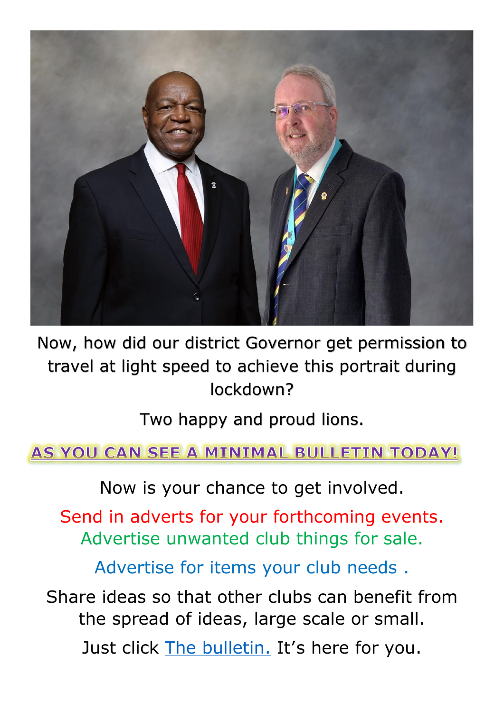

Now, how did our district Governor get permission to travel at light speed to achieve this portrait during lockdown?

Two happy and proud lions.

AS YOU CAN SEE A MINIMAL BULLETIN TODAY!

Now is your chance to get involved.

Send in adverts for your forthcoming events. Advertise unwanted club things for sale.

Advertise for items your club needs .

Share ideas so that other clubs can benefit from the spread of ideas, large scale or small.

Just click [The bulletin.](mailto:weeklynews@lions105ce.org.uk) It's here for you.